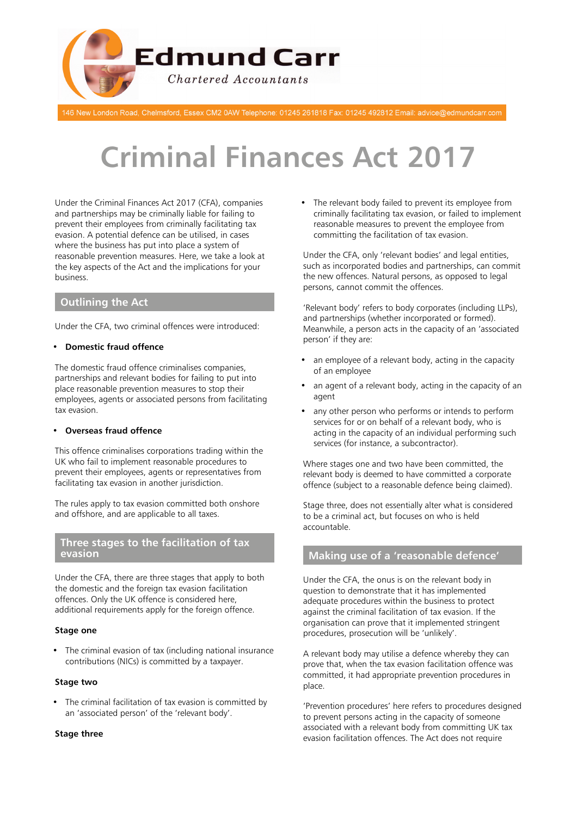

146 New London Road, Chelmsford, Essex CM2 0AW Telephone: 01245 261818 Fax: 01245 492812 Email: advice@edmundcarr.com

# **Criminal Finances Act 2017**

Under the Criminal Finances Act 2017 (CFA), companies and partnerships may be criminally liable for failing to prevent their employees from criminally facilitating tax evasion. A potential defence can be utilised, in cases where the business has put into place a system of reasonable prevention measures. Here, we take a look at the key aspects of the Act and the implications for your business.

# **Outlining the Act**

Under the CFA, two criminal offences were introduced:

## • **Domestic fraud offence**

The domestic fraud offence criminalises companies, partnerships and relevant bodies for failing to put into place reasonable prevention measures to stop their employees, agents or associated persons from facilitating tax evasion.

#### • **Overseas fraud offence**

This offence criminalises corporations trading within the UK who fail to implement reasonable procedures to prevent their employees, agents or representatives from facilitating tax evasion in another jurisdiction.

The rules apply to tax evasion committed both onshore and offshore, and are applicable to all taxes.

## **Three stages to the facilitation of tax evasion**

Under the CFA, there are three stages that apply to both the domestic and the foreign tax evasion facilitation offences. Only the UK offence is considered here, additional requirements apply for the foreign offence.

#### **Stage one**

• The criminal evasion of tax (including national insurance contributions (NICs) is committed by a taxpayer.

#### **Stage two**

• The criminal facilitation of tax evasion is committed by an 'associated person' of the 'relevant body'.

#### **Stage three**

• The relevant body failed to prevent its employee from criminally facilitating tax evasion, or failed to implement reasonable measures to prevent the employee from committing the facilitation of tax evasion.

Under the CFA, only 'relevant bodies' and legal entities, such as incorporated bodies and partnerships, can commit the new offences. Natural persons, as opposed to legal persons, cannot commit the offences.

'Relevant body' refers to body corporates (including LLPs), and partnerships (whether incorporated or formed). Meanwhile, a person acts in the capacity of an 'associated person' if they are:

- an employee of a relevant body, acting in the capacity of an employee
- an agent of a relevant body, acting in the capacity of an agent
- any other person who performs or intends to perform services for or on behalf of a relevant body, who is acting in the capacity of an individual performing such services (for instance, a subcontractor).

Where stages one and two have been committed, the relevant body is deemed to have committed a corporate offence (subject to a reasonable defence being claimed).

Stage three, does not essentially alter what is considered to be a criminal act, but focuses on who is held accountable.

## **Making use of a 'reasonable defence'**

Under the CFA, the onus is on the relevant body in question to demonstrate that it has implemented adequate procedures within the business to protect against the criminal facilitation of tax evasion. If the organisation can prove that it implemented stringent procedures, prosecution will be 'unlikely'.

A relevant body may utilise a defence whereby they can prove that, when the tax evasion facilitation offence was committed, it had appropriate prevention procedures in place.

'Prevention procedures' here refers to procedures designed to prevent persons acting in the capacity of someone associated with a relevant body from committing UK tax evasion facilitation offences. The Act does not require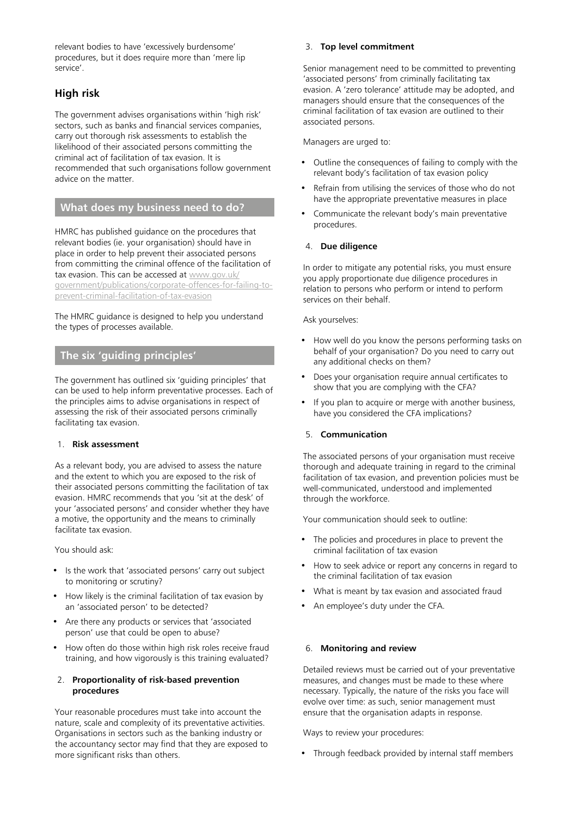relevant bodies to have 'excessively burdensome' procedures, but it does require more than 'mere lip service'.

# **High risk**

The government advises organisations within 'high risk' sectors, such as banks and financial services companies, carry out thorough risk assessments to establish the likelihood of their associated persons committing the criminal act of facilitation of tax evasion. It is recommended that such organisations follow government advice on the matter.

## **What does my business need to do?**

HMRC has published guidance on the procedures that relevant bodies (ie. your organisation) should have in place in order to help prevent their associated persons from committing the criminal offence of the facilitation of tax evasion. This can be accessed at [www.gov.uk/](https://www.gov.uk/government/publications/corporate-offences-for-failing-to-prevent-criminal-facilitation-of-tax-evasion) [government/publications/corporate-offences-for-failing-to](https://www.gov.uk/government/publications/corporate-offences-for-failing-to-prevent-criminal-facilitation-of-tax-evasion)[prevent-criminal-facilitation-of-tax-evasion](https://www.gov.uk/government/publications/corporate-offences-for-failing-to-prevent-criminal-facilitation-of-tax-evasion)

The HMRC guidance is designed to help you understand the types of processes available.

## **The six 'guiding principles'**

The government has outlined six 'guiding principles' that can be used to help inform preventative processes. Each of the principles aims to advise organisations in respect of assessing the risk of their associated persons criminally facilitating tax evasion.

## 1. **Risk assessment**

As a relevant body, you are advised to assess the nature and the extent to which you are exposed to the risk of their associated persons committing the facilitation of tax evasion. HMRC recommends that you 'sit at the desk' of your 'associated persons' and consider whether they have a motive, the opportunity and the means to criminally facilitate tax evasion.

You should ask:

- Is the work that 'associated persons' carry out subject to monitoring or scrutiny?
- How likely is the criminal facilitation of tax evasion by an 'associated person' to be detected?
- Are there any products or services that 'associated person' use that could be open to abuse?
- How often do those within high risk roles receive fraud training, and how vigorously is this training evaluated?

## 2. **Proportionality of risk-based prevention procedures**

Your reasonable procedures must take into account the nature, scale and complexity of its preventative activities. Organisations in sectors such as the banking industry or the accountancy sector may find that they are exposed to more significant risks than others.

## 3. **Top level commitment**

Senior management need to be committed to preventing 'associated persons' from criminally facilitating tax evasion. A 'zero tolerance' attitude may be adopted, and managers should ensure that the consequences of the criminal facilitation of tax evasion are outlined to their associated persons.

Managers are urged to:

- Outline the consequences of failing to comply with the relevant body's facilitation of tax evasion policy
- Refrain from utilising the services of those who do not have the appropriate preventative measures in place
- Communicate the relevant body's main preventative procedures.

## 4. **Due diligence**

In order to mitigate any potential risks, you must ensure you apply proportionate due diligence procedures in relation to persons who perform or intend to perform services on their behalf.

Ask yourselves:

- How well do you know the persons performing tasks on behalf of your organisation? Do you need to carry out any additional checks on them?
- Does your organisation require annual certificates to show that you are complying with the CFA?
- If you plan to acquire or merge with another business, have you considered the CFA implications?

## 5. **Communication**

The associated persons of your organisation must receive thorough and adequate training in regard to the criminal facilitation of tax evasion, and prevention policies must be well-communicated, understood and implemented through the workforce.

Your communication should seek to outline:

- The policies and procedures in place to prevent the criminal facilitation of tax evasion
- How to seek advice or report any concerns in regard to the criminal facilitation of tax evasion
- What is meant by tax evasion and associated fraud
- An employee's duty under the CFA.

## 6. **Monitoring and review**

Detailed reviews must be carried out of your preventative measures, and changes must be made to these where necessary. Typically, the nature of the risks you face will evolve over time: as such, senior management must ensure that the organisation adapts in response.

Ways to review your procedures:

• Through feedback provided by internal staff members